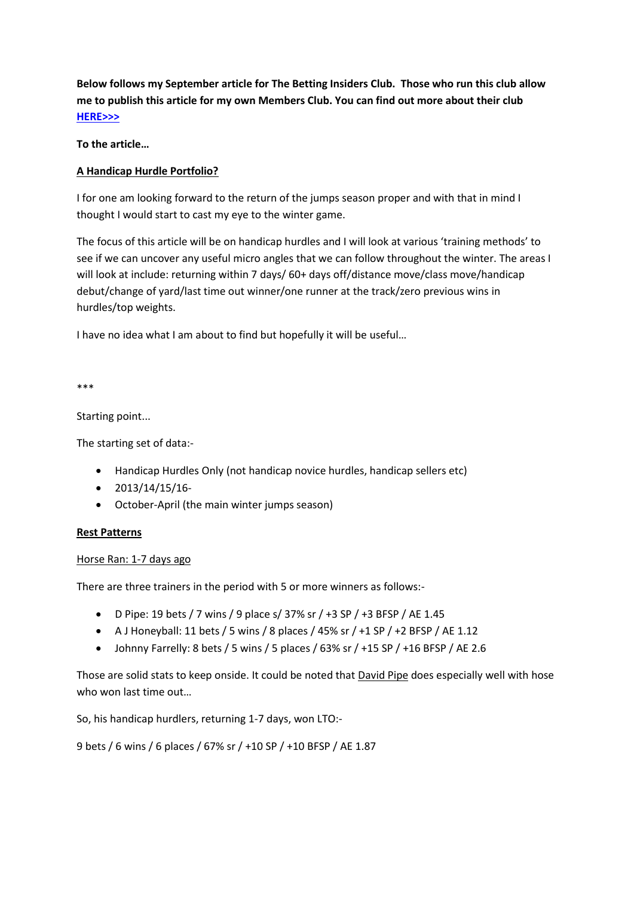**Below follows my September article for The Betting Insiders Club. Those who run this club allow me to publish this article for my own Members Club. You can find out more about their club [HERE>>>](http://www.betting-school.com/amember/aff/go/joshw?i=27)**

**To the article…**

# **A Handicap Hurdle Portfolio?**

I for one am looking forward to the return of the jumps season proper and with that in mind I thought I would start to cast my eye to the winter game.

The focus of this article will be on handicap hurdles and I will look at various 'training methods' to see if we can uncover any useful micro angles that we can follow throughout the winter. The areas I will look at include: returning within 7 days/ 60+ days off/distance move/class move/handicap debut/change of yard/last time out winner/one runner at the track/zero previous wins in hurdles/top weights.

I have no idea what I am about to find but hopefully it will be useful…

\*\*\*

Starting point...

The starting set of data:-

- Handicap Hurdles Only (not handicap novice hurdles, handicap sellers etc)
- $\bullet$  2013/14/15/16-
- October-April (the main winter jumps season)

### **Rest Patterns**

### Horse Ran: 1-7 days ago

There are three trainers in the period with 5 or more winners as follows:-

- D Pipe: 19 bets / 7 wins / 9 place s/ 37% sr / +3 SP / +3 BFSP / AE 1.45
- A J Honeyball: 11 bets / 5 wins / 8 places / 45% sr /  $+1$  SP /  $+2$  BFSP / AE 1.12
- Johnny Farrelly: 8 bets / 5 wins / 5 places / 63% sr / +15 SP / +16 BFSP / AE 2.6

Those are solid stats to keep onside. It could be noted that David Pipe does especially well with hose who won last time out…

So, his handicap hurdlers, returning 1-7 days, won LTO:-

9 bets / 6 wins / 6 places / 67% sr / +10 SP / +10 BFSP / AE 1.87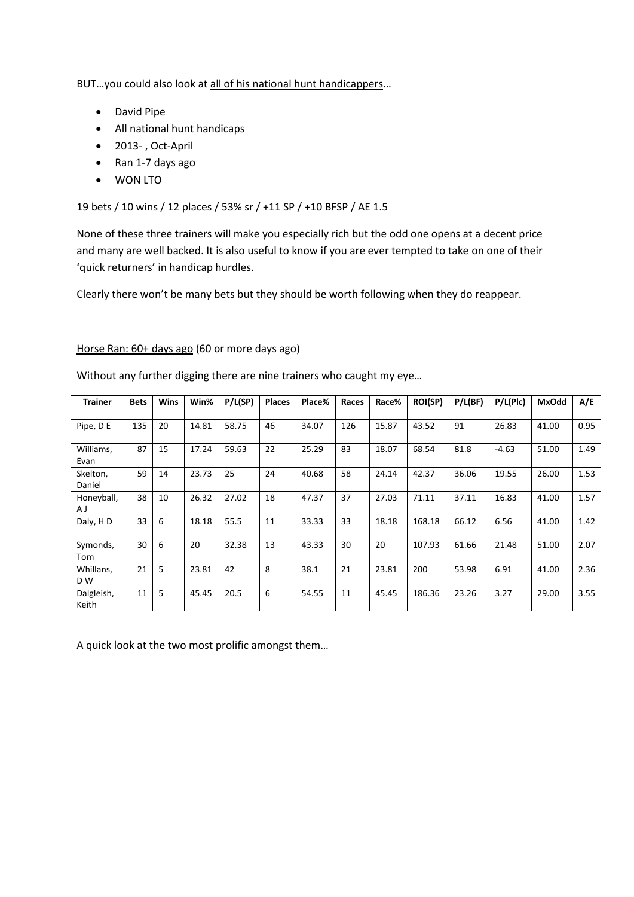BUT…you could also look at all of his national hunt handicappers…

- David Pipe
- All national hunt handicaps
- 2013- , Oct-April
- Ran 1-7 days ago
- WON LTO

19 bets / 10 wins / 12 places / 53% sr / +11 SP / +10 BFSP / AE 1.5

None of these three trainers will make you especially rich but the odd one opens at a decent price and many are well backed. It is also useful to know if you are ever tempted to take on one of their 'quick returners' in handicap hurdles.

Clearly there won't be many bets but they should be worth following when they do reappear.

### Horse Ran: 60+ days ago (60 or more days ago)

| <b>Trainer</b>      | <b>Bets</b> | <b>Wins</b> | Win%  | P/L(SP) | <b>Places</b> | Place% | Races | Race% | <b>ROI(SP)</b> | P/L(BF) | P/L(Plc) | <b>MxOdd</b> | A/E  |
|---------------------|-------------|-------------|-------|---------|---------------|--------|-------|-------|----------------|---------|----------|--------------|------|
| Pipe, D E           | 135         | 20          | 14.81 | 58.75   | 46            | 34.07  | 126   | 15.87 | 43.52          | 91      | 26.83    | 41.00        | 0.95 |
| Williams,<br>Evan   | 87          | 15          | 17.24 | 59.63   | 22            | 25.29  | 83    | 18.07 | 68.54          | 81.8    | $-4.63$  | 51.00        | 1.49 |
| Skelton,<br>Daniel  | 59          | 14          | 23.73 | 25      | 24            | 40.68  | 58    | 24.14 | 42.37          | 36.06   | 19.55    | 26.00        | 1.53 |
| Honeyball,<br>A J   | 38          | 10          | 26.32 | 27.02   | 18            | 47.37  | 37    | 27.03 | 71.11          | 37.11   | 16.83    | 41.00        | 1.57 |
| Daly, HD            | 33          | 6           | 18.18 | 55.5    | 11            | 33.33  | 33    | 18.18 | 168.18         | 66.12   | 6.56     | 41.00        | 1.42 |
| Symonds,<br>Tom     | 30          | 6           | 20    | 32.38   | 13            | 43.33  | 30    | 20    | 107.93         | 61.66   | 21.48    | 51.00        | 2.07 |
| Whillans,<br>D W    | 21          | .5          | 23.81 | 42      | 8             | 38.1   | 21    | 23.81 | 200            | 53.98   | 6.91     | 41.00        | 2.36 |
| Dalgleish,<br>Keith | 11          | 5           | 45.45 | 20.5    | 6             | 54.55  | 11    | 45.45 | 186.36         | 23.26   | 3.27     | 29.00        | 3.55 |

Without any further digging there are nine trainers who caught my eye…

A quick look at the two most prolific amongst them…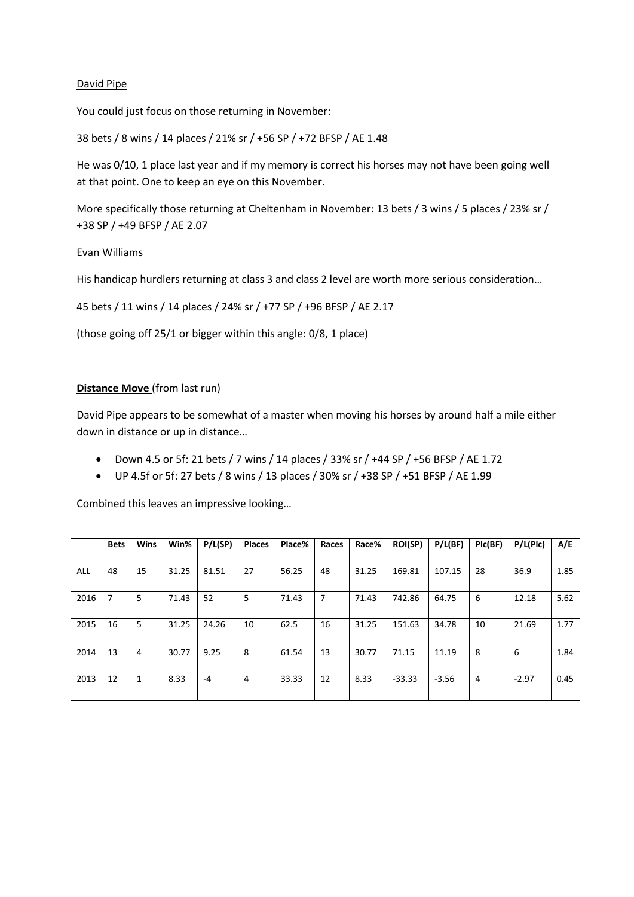## David Pipe

You could just focus on those returning in November:

38 bets / 8 wins / 14 places / 21% sr / +56 SP / +72 BFSP / AE 1.48

He was 0/10, 1 place last year and if my memory is correct his horses may not have been going well at that point. One to keep an eye on this November.

More specifically those returning at Cheltenham in November: 13 bets / 3 wins / 5 places / 23% sr / +38 SP / +49 BFSP / AE 2.07

### Evan Williams

His handicap hurdlers returning at class 3 and class 2 level are worth more serious consideration…

45 bets / 11 wins / 14 places / 24% sr / +77 SP / +96 BFSP / AE 2.17

(those going off 25/1 or bigger within this angle: 0/8, 1 place)

## **Distance Move** (from last run)

David Pipe appears to be somewhat of a master when moving his horses by around half a mile either down in distance or up in distance…

- Down 4.5 or 5f: 21 bets / 7 wins / 14 places / 33% sr / +44 SP / +56 BFSP / AE 1.72
- UP 4.5f or 5f: 27 bets / 8 wins / 13 places / 30% sr / +38 SP / +51 BFSP / AE 1.99

Combined this leaves an impressive looking…

|      | <b>Bets</b> | <b>Wins</b> | Win%  | P/L(SP) | Places | Place% | Races | Race% | <b>ROI(SP)</b> | P/L(BF) | PIc(BF) | P/L(Plc) | A/E  |
|------|-------------|-------------|-------|---------|--------|--------|-------|-------|----------------|---------|---------|----------|------|
| ALL  | 48          | 15          | 31.25 | 81.51   | 27     | 56.25  | 48    | 31.25 | 169.81         | 107.15  | 28      | 36.9     | 1.85 |
| 2016 | 7           | 5           | 71.43 | 52      | 5      | 71.43  | 7     | 71.43 | 742.86         | 64.75   | 6       | 12.18    | 5.62 |
| 2015 | 16          | 5           | 31.25 | 24.26   | 10     | 62.5   | 16    | 31.25 | 151.63         | 34.78   | 10      | 21.69    | 1.77 |
| 2014 | 13          | 4           | 30.77 | 9.25    | 8      | 61.54  | 13    | 30.77 | 71.15          | 11.19   | 8       | 6        | 1.84 |
| 2013 | 12          |             | 8.33  | -4      | 4      | 33.33  | 12    | 8.33  | $-33.33$       | $-3.56$ | 4       | $-2.97$  | 0.45 |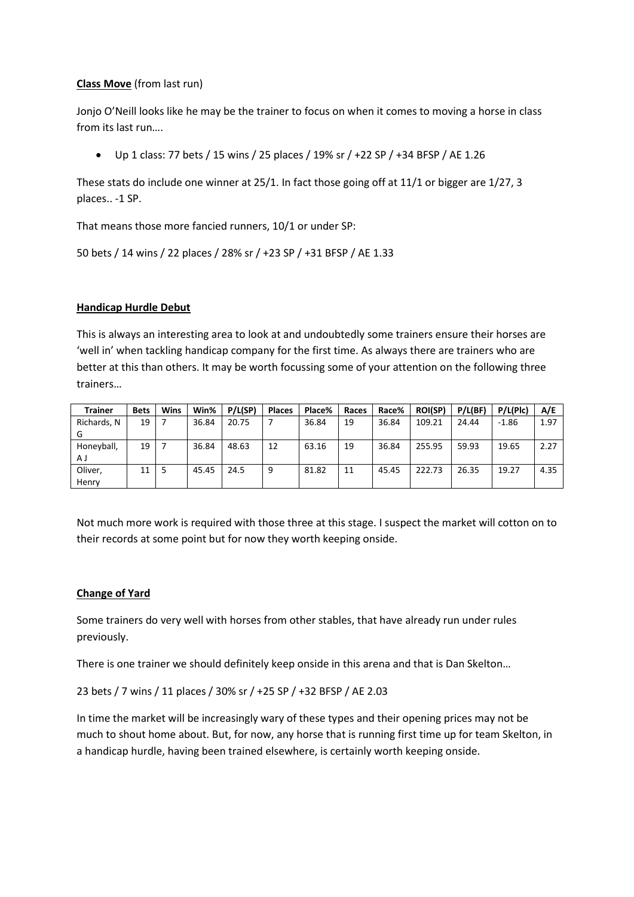## **Class Move** (from last run)

Jonjo O'Neill looks like he may be the trainer to focus on when it comes to moving a horse in class from its last run….

Up 1 class: 77 bets / 15 wins / 25 places / 19% sr / +22 SP / +34 BFSP / AE 1.26

These stats do include one winner at 25/1. In fact those going off at 11/1 or bigger are 1/27, 3 places.. -1 SP.

That means those more fancied runners, 10/1 or under SP:

```
50 bets / 14 wins / 22 places / 28% sr / +23 SP / +31 BFSP / AE 1.33
```
## **Handicap Hurdle Debut**

This is always an interesting area to look at and undoubtedly some trainers ensure their horses are 'well in' when tackling handicap company for the first time. As always there are trainers who are better at this than others. It may be worth focussing some of your attention on the following three trainers…

| <b>Trainer</b> | <b>Bets</b> | <b>Wins</b> | Win%  | P/L(SP) | <b>Places</b> | Place% | Races | Race% | <b>ROI(SP)</b> | P/L(BF) | P/L(Plc) | A/E  |
|----------------|-------------|-------------|-------|---------|---------------|--------|-------|-------|----------------|---------|----------|------|
| Richards, N    | 19          |             | 36.84 | 20.75   |               | 36.84  | 19    | 36.84 | 109.21         | 24.44   | $-1.86$  | 1.97 |
| G              |             |             |       |         |               |        |       |       |                |         |          |      |
| Honeyball,     | 19          |             | 36.84 | 48.63   | 12            | 63.16  | 19    | 36.84 | 255.95         | 59.93   | 19.65    | 2.27 |
| ΑJ             |             |             |       |         |               |        |       |       |                |         |          |      |
| Oliver,        | 11          |             | 45.45 | 24.5    | 9             | 81.82  | 11    | 45.45 | 222.73         | 26.35   | 19.27    | 4.35 |
| Henry          |             |             |       |         |               |        |       |       |                |         |          |      |

Not much more work is required with those three at this stage. I suspect the market will cotton on to their records at some point but for now they worth keeping onside.

### **Change of Yard**

Some trainers do very well with horses from other stables, that have already run under rules previously.

There is one trainer we should definitely keep onside in this arena and that is Dan Skelton…

### 23 bets / 7 wins / 11 places / 30% sr / +25 SP / +32 BFSP / AE 2.03

In time the market will be increasingly wary of these types and their opening prices may not be much to shout home about. But, for now, any horse that is running first time up for team Skelton, in a handicap hurdle, having been trained elsewhere, is certainly worth keeping onside.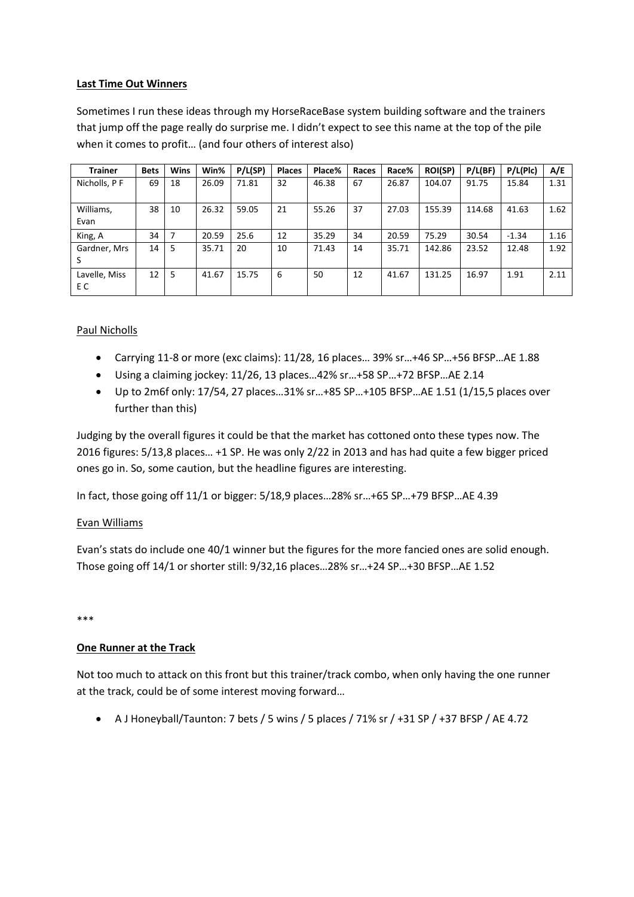## **Last Time Out Winners**

Sometimes I run these ideas through my HorseRaceBase system building software and the trainers that jump off the page really do surprise me. I didn't expect to see this name at the top of the pile when it comes to profit… (and four others of interest also)

| <b>Trainer</b>       | <b>Bets</b> | <b>Wins</b> | Win%  | P/L(SP) | <b>Places</b> | Place% | Races | Race% | <b>ROI(SP)</b> | P/L(BF) | P/L(Plc) | A/E  |
|----------------------|-------------|-------------|-------|---------|---------------|--------|-------|-------|----------------|---------|----------|------|
| Nicholls, PF         | 69          | 18          | 26.09 | 71.81   | 32            | 46.38  | 67    | 26.87 | 104.07         | 91.75   | 15.84    | 1.31 |
| Williams,<br>Evan    | 38          | 10          | 26.32 | 59.05   | 21            | 55.26  | 37    | 27.03 | 155.39         | 114.68  | 41.63    | 1.62 |
| King, A              | 34          | 7           | 20.59 | 25.6    | 12            | 35.29  | 34    | 20.59 | 75.29          | 30.54   | $-1.34$  | 1.16 |
| Gardner, Mrs         | 14          | 5           | 35.71 | 20      | 10            | 71.43  | 14    | 35.71 | 142.86         | 23.52   | 12.48    | 1.92 |
| Lavelle, Miss<br>E C | 12          | 5           | 41.67 | 15.75   | 6             | 50     | 12    | 41.67 | 131.25         | 16.97   | 1.91     | 2.11 |

# Paul Nicholls

- Carrying 11-8 or more (exc claims): 11/28, 16 places… 39% sr…+46 SP…+56 BFSP…AE 1.88
- Using a claiming jockey: 11/26, 13 places…42% sr…+58 SP…+72 BFSP…AE 2.14
- Up to 2m6f only: 17/54, 27 places…31% sr…+85 SP…+105 BFSP…AE 1.51 (1/15,5 places over further than this)

Judging by the overall figures it could be that the market has cottoned onto these types now. The 2016 figures: 5/13,8 places… +1 SP. He was only 2/22 in 2013 and has had quite a few bigger priced ones go in. So, some caution, but the headline figures are interesting.

In fact, those going off 11/1 or bigger: 5/18,9 places…28% sr…+65 SP…+79 BFSP…AE 4.39

### Evan Williams

Evan's stats do include one 40/1 winner but the figures for the more fancied ones are solid enough. Those going off 14/1 or shorter still: 9/32,16 places…28% sr…+24 SP…+30 BFSP…AE 1.52

#### \*\*\*

# **One Runner at the Track**

Not too much to attack on this front but this trainer/track combo, when only having the one runner at the track, could be of some interest moving forward…

• A J Honeyball/Taunton: 7 bets / 5 wins / 5 places / 71% sr / +31 SP / +37 BFSP / AE 4.72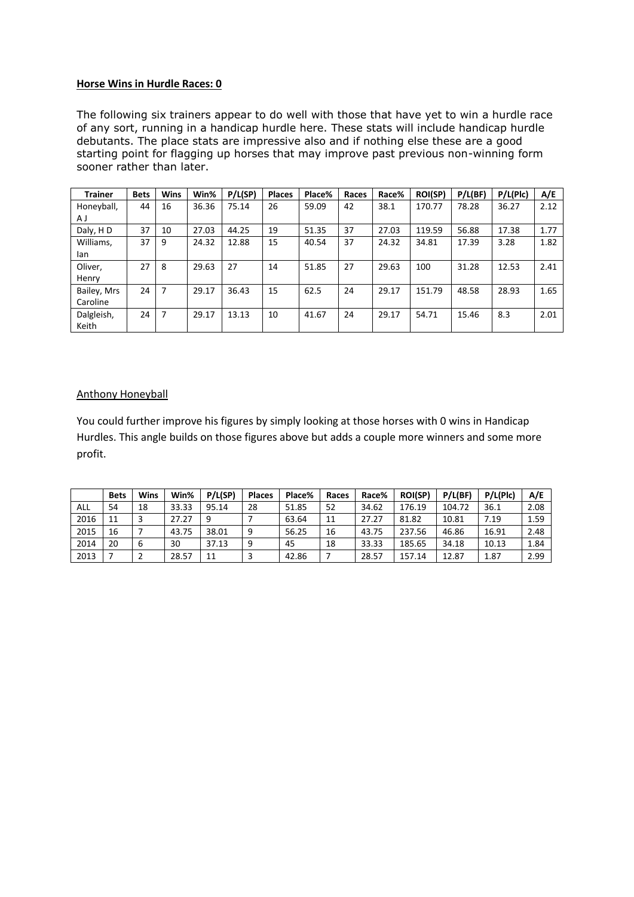#### **Horse Wins in Hurdle Races: 0**

The following six trainers appear to do well with those that have yet to win a hurdle race of any sort, running in a handicap hurdle here. These stats will include handicap hurdle debutants. The place stats are impressive also and if nothing else these are a good starting point for flagging up horses that may improve past previous non-winning form sooner rather than later.

| <b>Trainer</b> | <b>Bets</b> | <b>Wins</b>    | Win%  | P/L(SP) | <b>Places</b> | Place% | Races | Race% | <b>ROI(SP)</b> | P/L(BF) | P/L(Plc) | A/E  |
|----------------|-------------|----------------|-------|---------|---------------|--------|-------|-------|----------------|---------|----------|------|
| Honeyball,     | 44          | 16             | 36.36 | 75.14   | 26            | 59.09  | 42    | 38.1  | 170.77         | 78.28   | 36.27    | 2.12 |
| ΑJ             |             |                |       |         |               |        |       |       |                |         |          |      |
| Daly, HD       | 37          | 10             | 27.03 | 44.25   | 19            | 51.35  | 37    | 27.03 | 119.59         | 56.88   | 17.38    | 1.77 |
| Williams,      | 37          | 9              | 24.32 | 12.88   | 15            | 40.54  | 37    | 24.32 | 34.81          | 17.39   | 3.28     | 1.82 |
| lan            |             |                |       |         |               |        |       |       |                |         |          |      |
| Oliver,        | 27          | 8              | 29.63 | 27      | 14            | 51.85  | 27    | 29.63 | 100            | 31.28   | 12.53    | 2.41 |
| Henry          |             |                |       |         |               |        |       |       |                |         |          |      |
| Bailey, Mrs    | 24          | $\overline{7}$ | 29.17 | 36.43   | 15            | 62.5   | 24    | 29.17 | 151.79         | 48.58   | 28.93    | 1.65 |
| Caroline       |             |                |       |         |               |        |       |       |                |         |          |      |
| Dalgleish,     | 24          | $\overline{7}$ | 29.17 | 13.13   | 10            | 41.67  | 24    | 29.17 | 54.71          | 15.46   | 8.3      | 2.01 |
| Keith          |             |                |       |         |               |        |       |       |                |         |          |      |

### Anthony Honeyball

You could further improve his figures by simply looking at those horses with 0 wins in Handicap Hurdles. This angle builds on those figures above but adds a couple more winners and some more profit.

|      | <b>Bets</b> | Wins | Win%  | P/L(SP) | <b>Places</b> | Place% | Races | Race% | <b>ROI(SP)</b> | P/L(BF) | P/L(Plc) | A/E  |
|------|-------------|------|-------|---------|---------------|--------|-------|-------|----------------|---------|----------|------|
| ALL  | 54          | 18   | 33.33 | 95.14   | 28            | 51.85  | 52    | 34.62 | 176.19         | 104.72  | 36.1     | 2.08 |
| 2016 | 11          |      | 27.27 | q       |               | 63.64  | 11    | 27.27 | 81.82          | 10.81   | 7.19     | 1.59 |
| 2015 | 16          |      | 43.75 | 38.01   | 9             | 56.25  | 16    | 43.75 | 237.56         | 46.86   | 16.91    | 2.48 |
| 2014 | 20          | 6    | 30    | 37.13   | a             | 45     | 18    | 33.33 | 185.65         | 34.18   | 10.13    | 1.84 |
| 2013 |             |      | 28.57 | 11      |               | 42.86  |       | 28.57 | 157.14         | 12.87   | 1.87     | 2.99 |